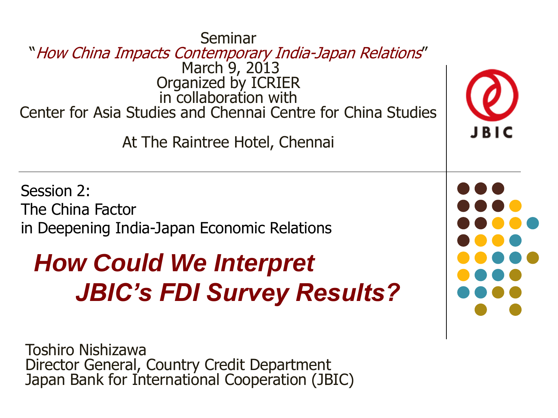Seminar "How China Impacts Contemporary India-Japan Relations" March 9, 2013 Organized by ICRIER in collaboration with Center for Asia Studies and Chennai Centre for China Studies At The Raintree Hotel, Chennai

Session 2: The China Factor in Deepening India-Japan Economic Relations

### *How Could We Interpret JBIC's FDI Survey Results?*

Toshiro Nishizawa Director General, Country Credit Department Japan Bank for International Cooperation (JBIC)



JBIC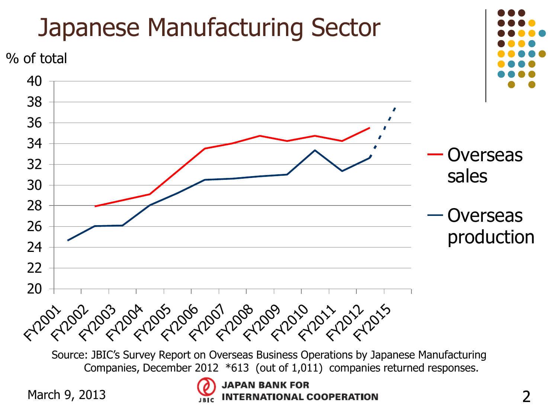

Source: JBIC's Survey Report on Overseas Business Operations by Japanese Manufacturing Companies, December 2012 \*613 (out of 1,011) companies returned responses.

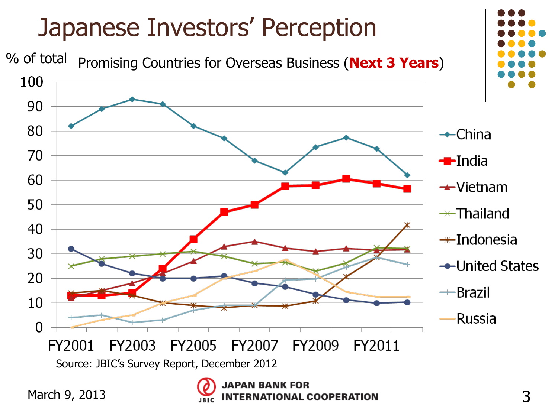

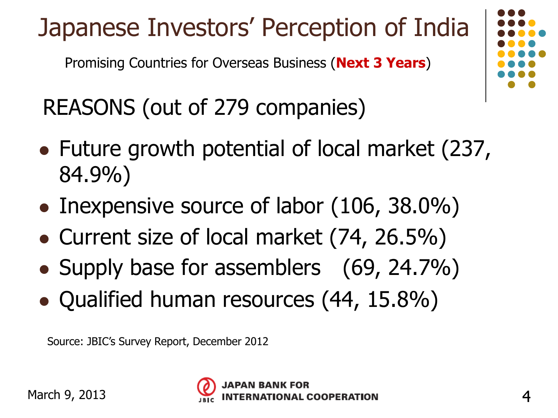Japanese Investors' Perception of India

Promising Countries for Overseas Business (**Next 3 Years**)

REASONS (out of 279 companies)

- Future growth potential of local market (237, 84.9%)
- Inexpensive source of labor (106, 38.0%)
- Current size of local market (74, 26.5%)
- Supply base for assemblers (69, 24.7%)
- Qualified human resources (44, 15.8%)

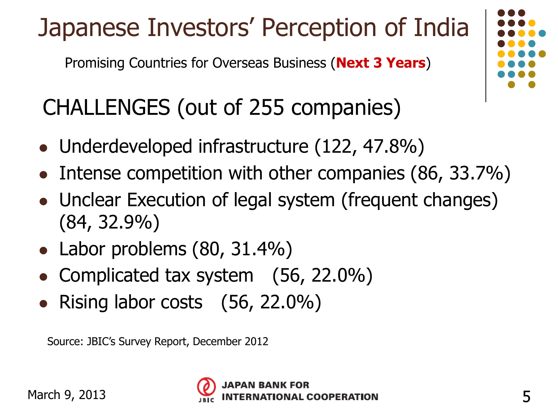# Japanese Investors' Perception of India

Promising Countries for Overseas Business (**Next 3 Years**)

### CHALLENGES (out of 255 companies)

- Underdeveloped infrastructure (122, 47.8%)
- Intense competition with other companies (86, 33.7%)
- Unclear Execution of legal system (frequent changes) (84, 32.9%)
- Labor problems (80, 31.4%)
- Complicated tax system (56, 22.0%)
- Rising labor costs  $(56, 22.0\%)$

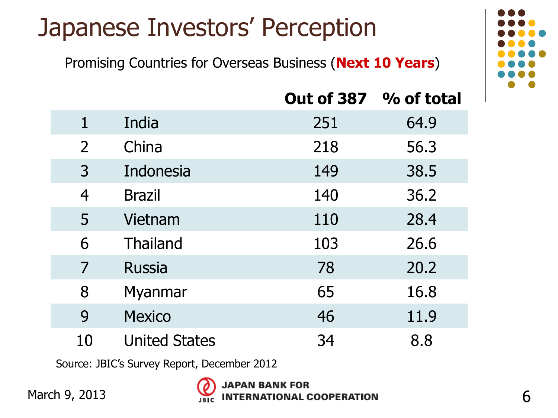### Japanese Investors' Perception

Promising Countries for Overseas Business (**Next 10 Years**)

|                |                      | Out of 387 % of total |      |
|----------------|----------------------|-----------------------|------|
| $\mathbf{1}$   | India                | 251                   | 64.9 |
| $\overline{2}$ | China                | 218                   | 56.3 |
| $\overline{3}$ | Indonesia            | 149                   | 38.5 |
| $\overline{4}$ | <b>Brazil</b>        | 140                   | 36.2 |
| 5              | Vietnam              | 110                   | 28.4 |
| 6              | <b>Thailand</b>      | 103                   | 26.6 |
| 7              | <b>Russia</b>        | 78                    | 20.2 |
| 8              | Myanmar              | 65                    | 16.8 |
| 9              | <b>Mexico</b>        | 46                    | 11.9 |
| 10             | <b>United States</b> | 34                    | 8.8  |

Source: JBIC's Survey Report, December 2012



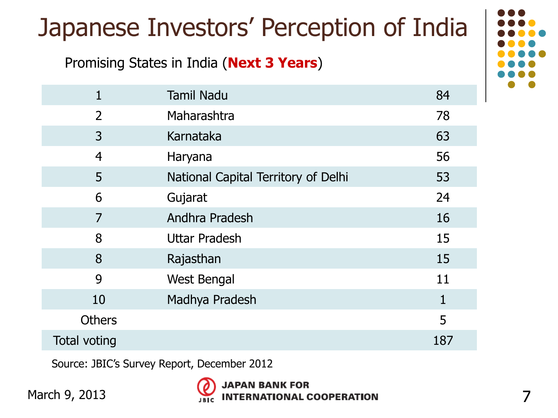## Japanese Investors' Perception of India

#### Promising States in India (**Next 3 Years**)

| $\mathbf{1}$   | <b>Tamil Nadu</b>                   | 84           |
|----------------|-------------------------------------|--------------|
| $\overline{2}$ | Maharashtra                         | 78           |
| 3              | Karnataka                           | 63           |
| $\overline{4}$ | Haryana                             | 56           |
| 5              | National Capital Territory of Delhi | 53           |
| 6              | Gujarat                             | 24           |
| 7              | Andhra Pradesh                      | 16           |
| 8              | <b>Uttar Pradesh</b>                | 15           |
| 8              | Rajasthan                           | 15           |
| 9              | <b>West Bengal</b>                  | 11           |
| 10             | Madhya Pradesh                      | $\mathbf{1}$ |
| <b>Others</b>  |                                     | 5            |
| Total voting   |                                     | 187          |

Source: JBIC's Survey Report, December 2012

March 9, 2013



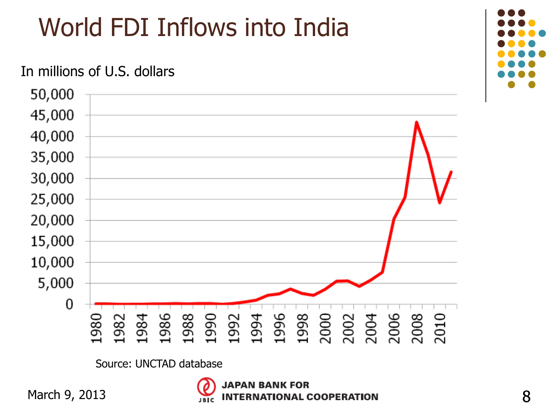# World FDI Inflows into India

#### In millions of U.S. dollars



Source: UNCTAD database



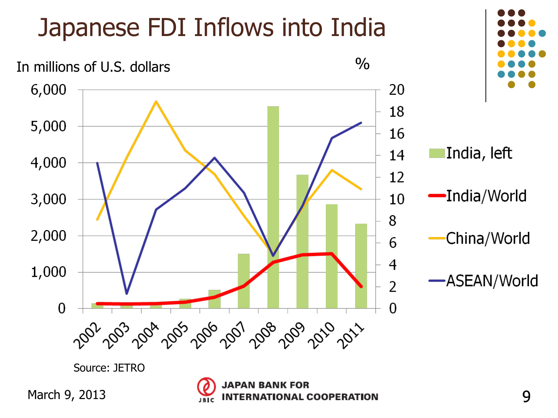## Japanese FDI Inflows into India



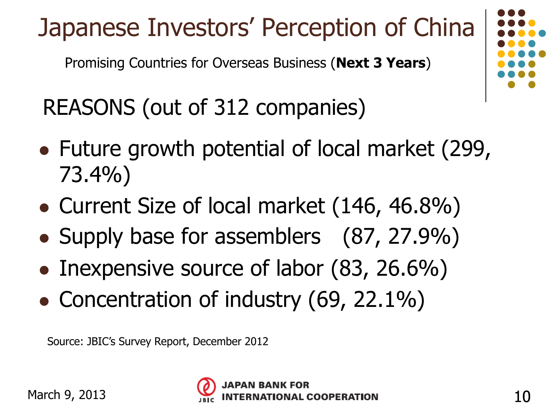# Japanese Investors' Perception of China

Promising Countries for Overseas Business (**Next 3 Years**)

REASONS (out of 312 companies)

- Future growth potential of local market (299, 73.4%)
- Current Size of local market (146, 46.8%)
- Supply base for assemblers (87, 27.9%)
- Inexpensive source of labor (83, 26.6%)
- Concentration of industry (69, 22.1%)

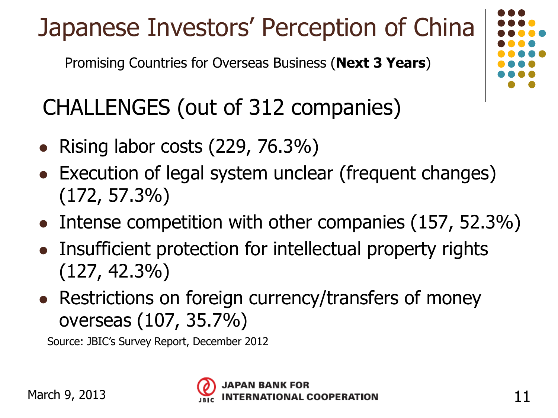# Japanese Investors' Perception of China

Promising Countries for Overseas Business (**Next 3 Years**)

### CHALLENGES (out of 312 companies)

- Rising labor costs  $(229, 76.3%)$
- Execution of legal system unclear (frequent changes) (172, 57.3%)
- Intense competition with other companies (157, 52.3%)
- Insufficient protection for intellectual property rights (127, 42.3%)
- Restrictions on foreign currency/transfers of money overseas (107, 35.7%)

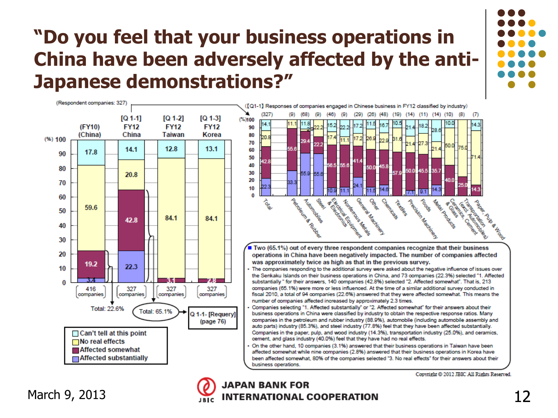### **"Do you feel that your business operations in China have been adversely affected by the anti-Japanese demonstrations?"**



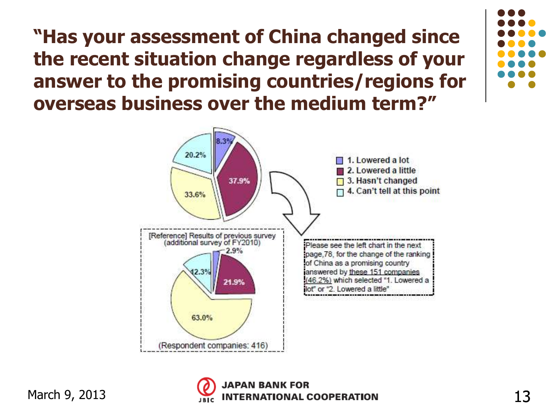**"Has your assessment of China changed since the recent situation change regardless of your answer to the promising countries/regions for overseas business over the medium term?"**

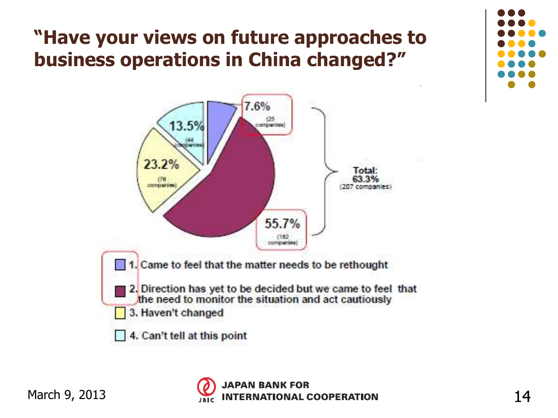### **"Have your views on future approaches to business operations in China changed?"**





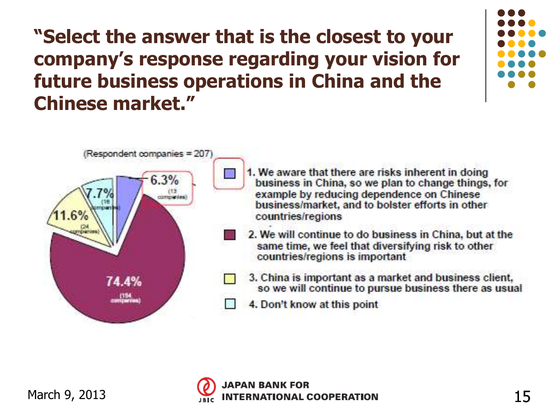**"Select the answer that is the closest to your company's response regarding your vision for future business operations in China and the Chinese market."**





- 1. We aware that there are risks inherent in doing business in China, so we plan to change things, for example by reducing dependence on Chinese business/market, and to bolster efforts in other countries/regions
- 2. We will continue to do business in China, but at the same time, we feel that diversifying risk to other countries/regions is important
- 3. China is important as a market and business client, so we will continue to pursue business there as usual
- 4. Don't know at this point

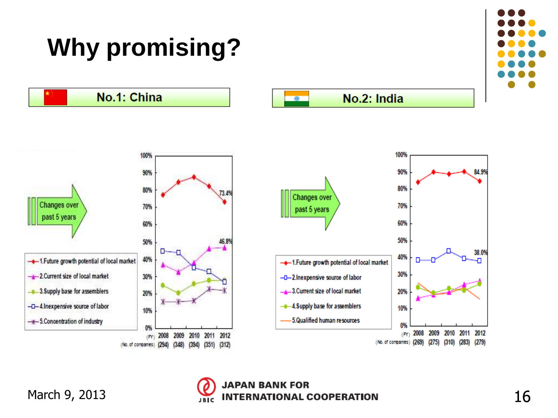

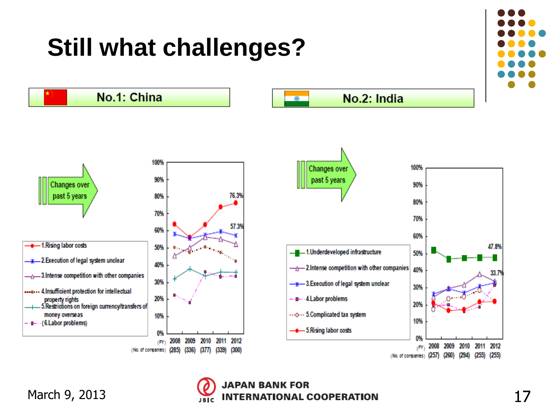

(No. of companies) (257) (260) (294)



 $(255)$   $(255)$